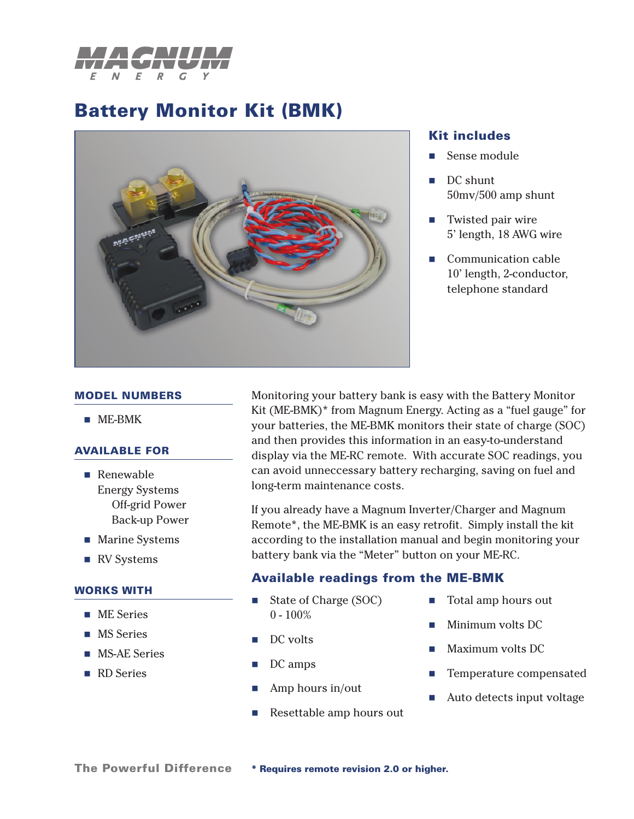

# **Battery Monitor Kit (BMK)**



## **Kit includes**

- Sense module L.
- DC shunt 50mv/500 amp shunt **College**
- **Twisted pair wire** 5' length, 18 AWG wire
- Communication cable 10' length, 2-conductor, telephone standard  $\mathcal{L}_{\mathrm{max}}$

#### **MODEL NUMBERS**

■ ME-BMK

### **AVAILABLE FOR**

- Renewable Energy Systems Off-grid Power Back-up Power
- **Marine Systems**
- RV Systems

### **WORKS WITH**

- **ME** Series
- **MS** Series
- **MS-AE Series**
- **RD** Series

Monitoring your battery bank is easy with the Battery Monitor Kit (ME-BMK)\* from Magnum Energy. Acting as a "fuel gauge" for your batteries, the ME-BMK monitors their state of charge (SOC) and then provides this information in an easy-to-understand display via the ME-RC remote. With accurate SOC readings, you can avoid unneccessary battery recharging, saving on fuel and long-term maintenance costs.

If you already have a Magnum Inverter/Charger and Magnum Remote\*, the ME-BMK is an easy retrofit. Simply install the kit according to the installation manual and begin monitoring your battery bank via the "Meter" button on your ME-RC.

## **Available readings from the ME-BMK**

- State of Charge (SOC)  $0 - 100\%$ L.
- DC volts **Contract**
- DC amps m.
- Amp hours in/out L.
- Resettable amp hours out L.
- Total amp hours out L.
- Minimum volts DC L.
- Maximum volts DC L.
- Temperature compensated L.
- Auto detects input voltage  $\mathcal{L}_{\mathcal{A}}$